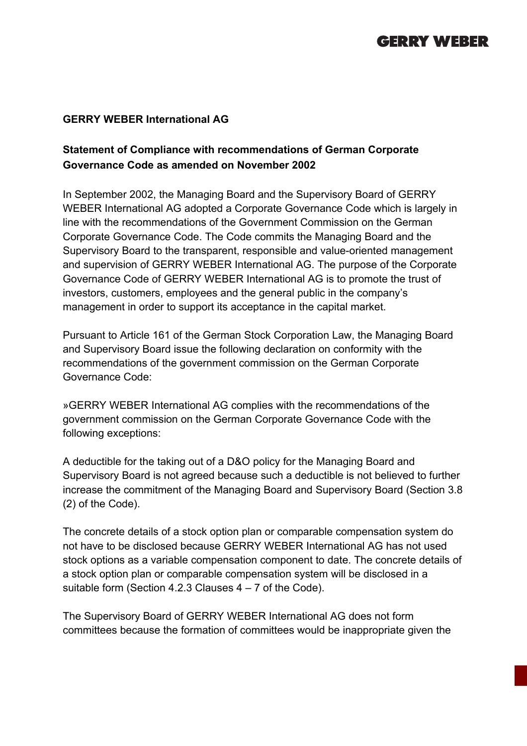## **GERRY WEBER**

## **GERRY WEBER International AG**

## **Statement of Compliance with recommendations of German Corporate Governance Code as amended on November 2002**

In September 2002, the Managing Board and the Supervisory Board of GERRY WEBER International AG adopted a Corporate Governance Code which is largely in line with the recommendations of the Government Commission on the German Corporate Governance Code. The Code commits the Managing Board and the Supervisory Board to the transparent, responsible and value-oriented management and supervision of GERRY WEBER International AG. The purpose of the Corporate Governance Code of GERRY WEBER International AG is to promote the trust of investors, customers, employees and the general public in the company's management in order to support its acceptance in the capital market.

Pursuant to Article 161 of the German Stock Corporation Law, the Managing Board and Supervisory Board issue the following declaration on conformity with the recommendations of the government commission on the German Corporate Governance Code:

»GERRY WEBER International AG complies with the recommendations of the government commission on the German Corporate Governance Code with the following exceptions:

A deductible for the taking out of a D&O policy for the Managing Board and Supervisory Board is not agreed because such a deductible is not believed to further increase the commitment of the Managing Board and Supervisory Board (Section 3.8 (2) of the Code).

The concrete details of a stock option plan or comparable compensation system do not have to be disclosed because GERRY WEBER International AG has not used stock options as a variable compensation component to date. The concrete details of a stock option plan or comparable compensation system will be disclosed in a suitable form (Section 4.2.3 Clauses 4 – 7 of the Code).

The Supervisory Board of GERRY WEBER International AG does not form committees because the formation of committees would be inappropriate given the